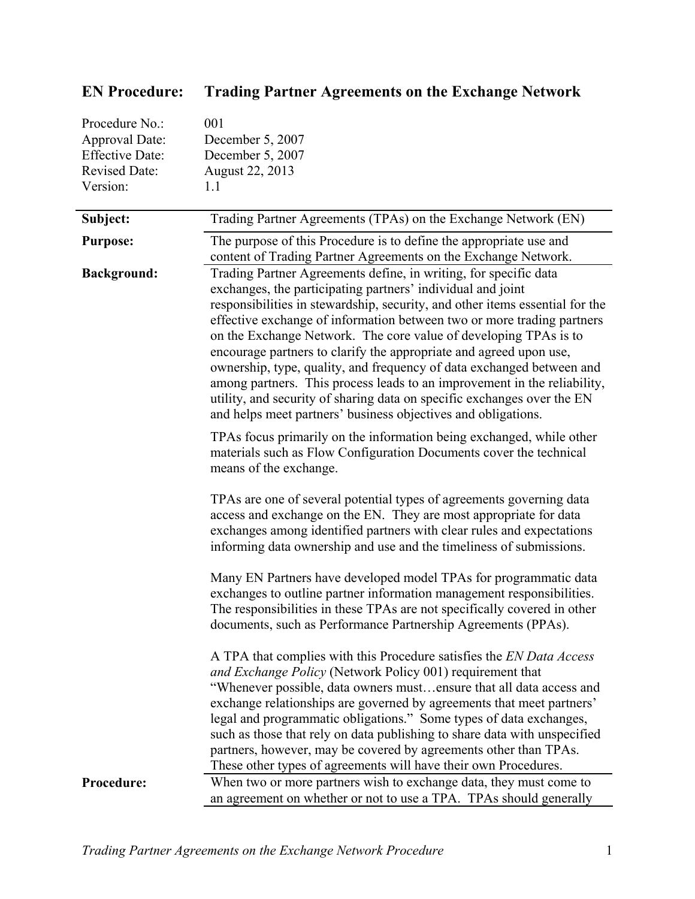| Procedure No.:         | 001                                                                                                                                                                                                                                                                                                                                                                                                                                                                                                                                                                                                                                                                                                                                  |
|------------------------|--------------------------------------------------------------------------------------------------------------------------------------------------------------------------------------------------------------------------------------------------------------------------------------------------------------------------------------------------------------------------------------------------------------------------------------------------------------------------------------------------------------------------------------------------------------------------------------------------------------------------------------------------------------------------------------------------------------------------------------|
| Approval Date:         | December 5, 2007                                                                                                                                                                                                                                                                                                                                                                                                                                                                                                                                                                                                                                                                                                                     |
| <b>Effective Date:</b> | December 5, 2007                                                                                                                                                                                                                                                                                                                                                                                                                                                                                                                                                                                                                                                                                                                     |
| Revised Date:          | August 22, 2013                                                                                                                                                                                                                                                                                                                                                                                                                                                                                                                                                                                                                                                                                                                      |
| Version:               | 1.1                                                                                                                                                                                                                                                                                                                                                                                                                                                                                                                                                                                                                                                                                                                                  |
| Subject:               | Trading Partner Agreements (TPAs) on the Exchange Network (EN)                                                                                                                                                                                                                                                                                                                                                                                                                                                                                                                                                                                                                                                                       |
| <b>Purpose:</b>        | The purpose of this Procedure is to define the appropriate use and<br>content of Trading Partner Agreements on the Exchange Network.                                                                                                                                                                                                                                                                                                                                                                                                                                                                                                                                                                                                 |
| <b>Background:</b>     | Trading Partner Agreements define, in writing, for specific data<br>exchanges, the participating partners' individual and joint<br>responsibilities in stewardship, security, and other items essential for the<br>effective exchange of information between two or more trading partners<br>on the Exchange Network. The core value of developing TPAs is to<br>encourage partners to clarify the appropriate and agreed upon use,<br>ownership, type, quality, and frequency of data exchanged between and<br>among partners. This process leads to an improvement in the reliability,<br>utility, and security of sharing data on specific exchanges over the EN<br>and helps meet partners' business objectives and obligations. |
|                        | TPAs focus primarily on the information being exchanged, while other<br>materials such as Flow Configuration Documents cover the technical<br>means of the exchange.                                                                                                                                                                                                                                                                                                                                                                                                                                                                                                                                                                 |
|                        | TPAs are one of several potential types of agreements governing data<br>access and exchange on the EN. They are most appropriate for data<br>exchanges among identified partners with clear rules and expectations<br>informing data ownership and use and the timeliness of submissions.                                                                                                                                                                                                                                                                                                                                                                                                                                            |
|                        | Many EN Partners have developed model TPAs for programmatic data<br>exchanges to outline partner information management responsibilities.<br>The responsibilities in these TPAs are not specifically covered in other<br>documents, such as Performance Partnership Agreements (PPAs).                                                                                                                                                                                                                                                                                                                                                                                                                                               |
|                        | A TPA that complies with this Procedure satisfies the EN Data Access<br>and Exchange Policy (Network Policy 001) requirement that<br>"Whenever possible, data owners mustensure that all data access and<br>exchange relationships are governed by agreements that meet partners'<br>legal and programmatic obligations." Some types of data exchanges,<br>such as those that rely on data publishing to share data with unspecified<br>partners, however, may be covered by agreements other than TPAs.<br>These other types of agreements will have their own Procedures.                                                                                                                                                          |
| Procedure:             | When two or more partners wish to exchange data, they must come to<br>an agreement on whether or not to use a TPA. TPAs should generally                                                                                                                                                                                                                                                                                                                                                                                                                                                                                                                                                                                             |

## **EN Procedure: Trading Partner Agreements on the Exchange Network**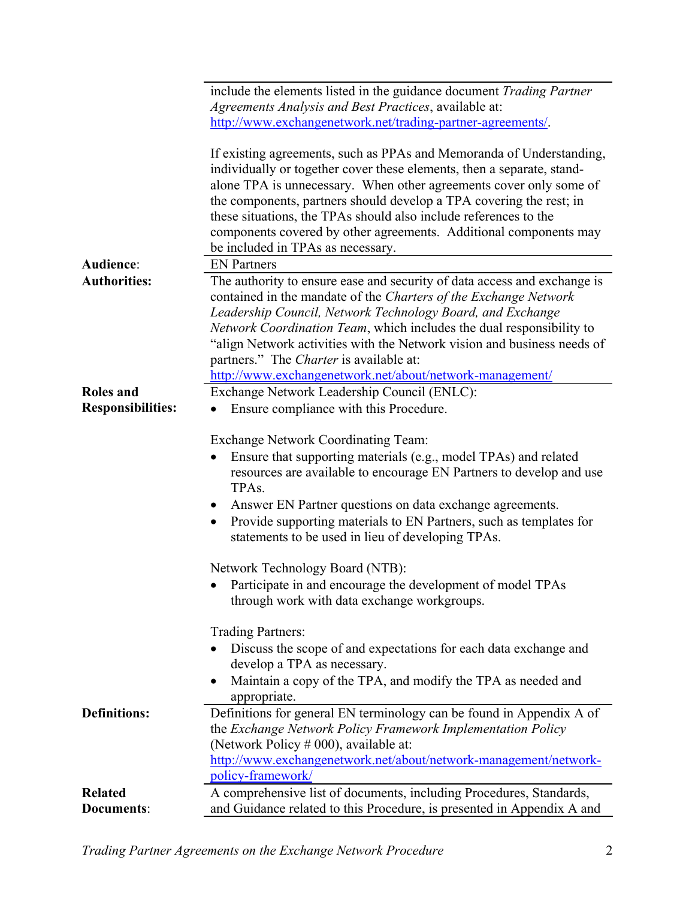|                          | include the elements listed in the guidance document Trading Partner                                                                                                                                                                                                                                                                                                                                                                                                      |
|--------------------------|---------------------------------------------------------------------------------------------------------------------------------------------------------------------------------------------------------------------------------------------------------------------------------------------------------------------------------------------------------------------------------------------------------------------------------------------------------------------------|
|                          | Agreements Analysis and Best Practices, available at:                                                                                                                                                                                                                                                                                                                                                                                                                     |
|                          | http://www.exchangenetwork.net/trading-partner-agreements/.                                                                                                                                                                                                                                                                                                                                                                                                               |
|                          | If existing agreements, such as PPAs and Memoranda of Understanding,<br>individually or together cover these elements, then a separate, stand-<br>alone TPA is unnecessary. When other agreements cover only some of<br>the components, partners should develop a TPA covering the rest; in<br>these situations, the TPAs should also include references to the<br>components covered by other agreements. Additional components may<br>be included in TPAs as necessary. |
| Audience:                | <b>EN Partners</b>                                                                                                                                                                                                                                                                                                                                                                                                                                                        |
| <b>Authorities:</b>      | The authority to ensure ease and security of data access and exchange is<br>contained in the mandate of the Charters of the Exchange Network<br>Leadership Council, Network Technology Board, and Exchange<br>Network Coordination Team, which includes the dual responsibility to<br>"align Network activities with the Network vision and business needs of<br>partners." The Charter is available at:                                                                  |
|                          | http://www.exchangenetwork.net/about/network-management/                                                                                                                                                                                                                                                                                                                                                                                                                  |
| <b>Roles</b> and         | Exchange Network Leadership Council (ENLC):                                                                                                                                                                                                                                                                                                                                                                                                                               |
| <b>Responsibilities:</b> | Ensure compliance with this Procedure.                                                                                                                                                                                                                                                                                                                                                                                                                                    |
|                          | <b>Exchange Network Coordinating Team:</b><br>Ensure that supporting materials (e.g., model TPAs) and related<br>resources are available to encourage EN Partners to develop and use<br>TPA <sub>s</sub> .<br>Answer EN Partner questions on data exchange agreements.<br>$\bullet$<br>Provide supporting materials to EN Partners, such as templates for<br>$\bullet$<br>statements to be used in lieu of developing TPAs.                                               |
|                          | Network Technology Board (NTB):                                                                                                                                                                                                                                                                                                                                                                                                                                           |
|                          | Participate in and encourage the development of model TPAs<br>through work with data exchange workgroups.                                                                                                                                                                                                                                                                                                                                                                 |
|                          | Trading Partners:<br>Discuss the scope of and expectations for each data exchange and<br>develop a TPA as necessary.<br>Maintain a copy of the TPA, and modify the TPA as needed and<br>appropriate.                                                                                                                                                                                                                                                                      |
| <b>Definitions:</b>      | Definitions for general EN terminology can be found in Appendix A of<br>the Exchange Network Policy Framework Implementation Policy<br>(Network Policy $#000$ ), available at:<br>http://www.exchangenetwork.net/about/network-management/network-                                                                                                                                                                                                                        |
| <b>Related</b>           | policy-framework/<br>A comprehensive list of documents, including Procedures, Standards,                                                                                                                                                                                                                                                                                                                                                                                  |
| <b>Documents:</b>        | and Guidance related to this Procedure, is presented in Appendix A and                                                                                                                                                                                                                                                                                                                                                                                                    |

*Trading Partner Agreements on the Exchange Network Procedure* 2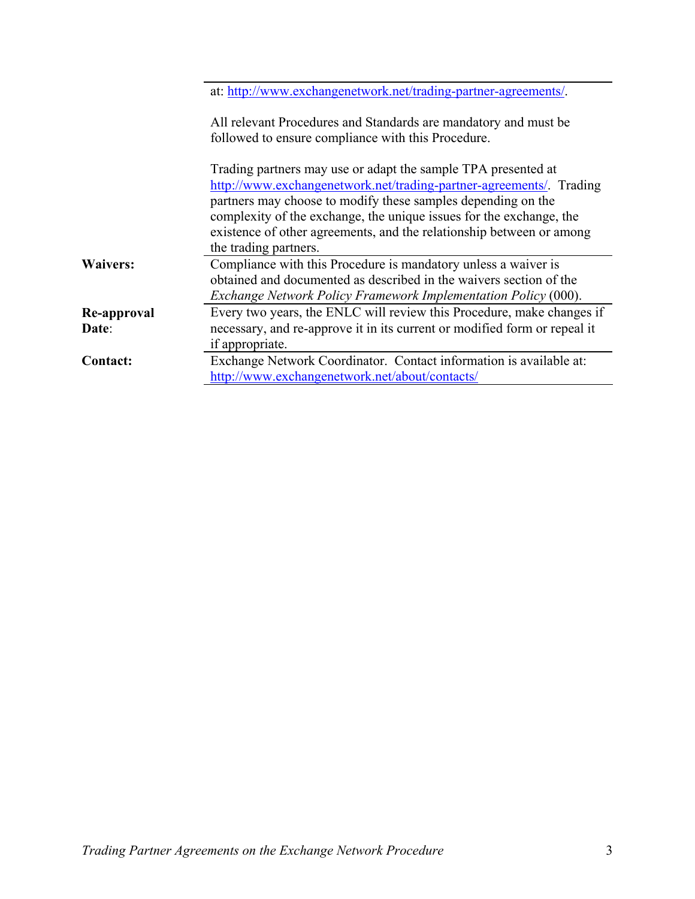|                      | at: http://www.exchangenetwork.net/trading-partner-agreements/.                                                                                                                                                                                                                                                                                                              |
|----------------------|------------------------------------------------------------------------------------------------------------------------------------------------------------------------------------------------------------------------------------------------------------------------------------------------------------------------------------------------------------------------------|
|                      | All relevant Procedures and Standards are mandatory and must be<br>followed to ensure compliance with this Procedure.                                                                                                                                                                                                                                                        |
|                      | Trading partners may use or adapt the sample TPA presented at<br>http://www.exchangenetwork.net/trading-partner-agreements/. Trading<br>partners may choose to modify these samples depending on the<br>complexity of the exchange, the unique issues for the exchange, the<br>existence of other agreements, and the relationship between or among<br>the trading partners. |
| <b>Waivers:</b>      | Compliance with this Procedure is mandatory unless a waiver is<br>obtained and documented as described in the waivers section of the<br>Exchange Network Policy Framework Implementation Policy (000).                                                                                                                                                                       |
| Re-approval<br>Date: | Every two years, the ENLC will review this Procedure, make changes if<br>necessary, and re-approve it in its current or modified form or repeal it<br>if appropriate.                                                                                                                                                                                                        |
| <b>Contact:</b>      | Exchange Network Coordinator. Contact information is available at:<br>http://www.exchangenetwork.net/about/contacts/                                                                                                                                                                                                                                                         |